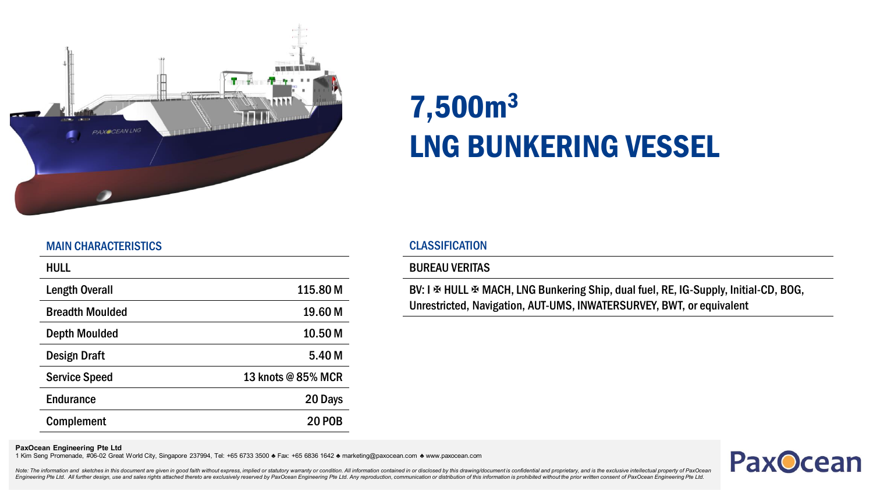

# 7,500m<sup>3</sup> LNG BUNKERING VESSEL

# MAIN CHARACTERISTICS

| <b>HULL</b>            |                    |
|------------------------|--------------------|
| <b>Length Overall</b>  | 115.80 M           |
| <b>Breadth Moulded</b> | 19.60 M            |
| <b>Depth Moulded</b>   | 10.50 <sub>M</sub> |
| Design Draft           | 5.40 M             |
| <b>Service Speed</b>   | 13 knots @ 85% MCR |
| <b>Endurance</b>       | 20 Days            |
| <b>Complement</b>      | <b>20 POB</b>      |

# CLASSIFICATION

### BUREAU VERITAS

BV: I  $\Phi$  HULL  $\Phi$  MACH, LNG Bunkering Ship, dual fuel, RE, IG-Supply, Initial-CD, BOG, Unrestricted, Navigation, AUT-UMS, INWATERSURVEY, BWT, or equivalent

#### **PaxOcean Engineering Pte Ltd**

1 Kim Seng Promenade, #06-02 Great World City, Singapore 237994, Tel: +65 6733 3500 ♣ Fax: +65 6836 1642 ♣ marketing@paxocean.com ♣ www.paxocean.com



Note: The information and sketches in this document are given in good faith without express, implied or statutory warranty or condition. All information contained in or disclosed by this drawing/document is confidential an Engineering Pte Ltd. All further design, use and sales rights attached thereto are exclusively reserved by PaxOcean Engineering Pte Ltd. Any reproduction, communication or distribution of this information is prohibited wit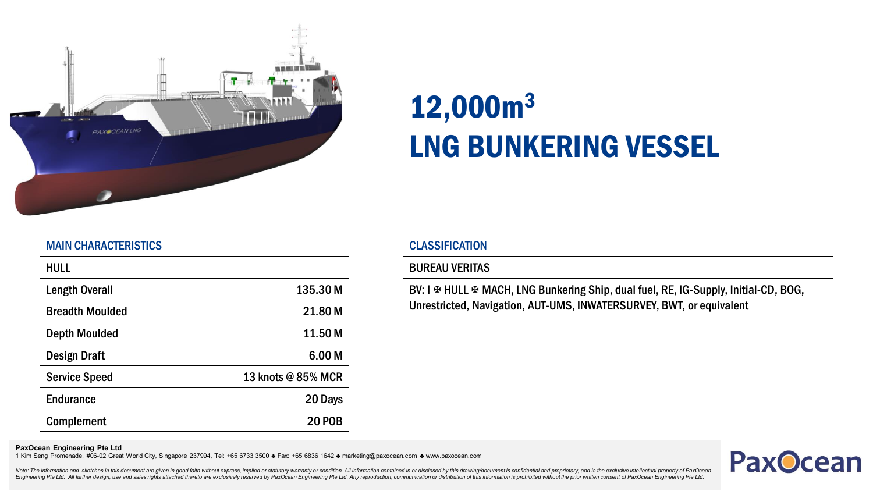

# 12,000m<sup>3</sup> LNG BUNKERING VESSEL

# MAIN CHARACTERISTICS

| <b>HULL</b>            |                    |
|------------------------|--------------------|
| <b>Length Overall</b>  | 135.30 M           |
| <b>Breadth Moulded</b> | 21.80 M            |
| <b>Depth Moulded</b>   | 11.50 M            |
| Design Draft           | 6.00 <sub>M</sub>  |
| <b>Service Speed</b>   | 13 knots @ 85% MCR |
| <b>Endurance</b>       | 20 Days            |
| <b>Complement</b>      | <b>20 POB</b>      |

# CLASSIFICATION

### BUREAU VERITAS

BV: I  $\Phi$  HULL  $\Phi$  MACH, LNG Bunkering Ship, dual fuel, RE, IG-Supply, Initial-CD, BOG, Unrestricted, Navigation, AUT-UMS, INWATERSURVEY, BWT, or equivalent

#### **PaxOcean Engineering Pte Ltd**

1 Kim Seng Promenade, #06-02 Great World City, Singapore 237994, Tel: +65 6733 3500 ♣ Fax: +65 6836 1642 ♣ marketing@paxocean.com ♣ www.paxocean.com



Note: The information and sketches in this document are given in good faith without express, implied or statutory warranty or condition. All information contained in or disclosed by this drawing/document is confidential an Engineering Pte Ltd. All further design, use and sales rights attached thereto are exclusively reserved by PaxOcean Engineering Pte Ltd. Any reproduction, communication or distribution of this information is prohibited wit